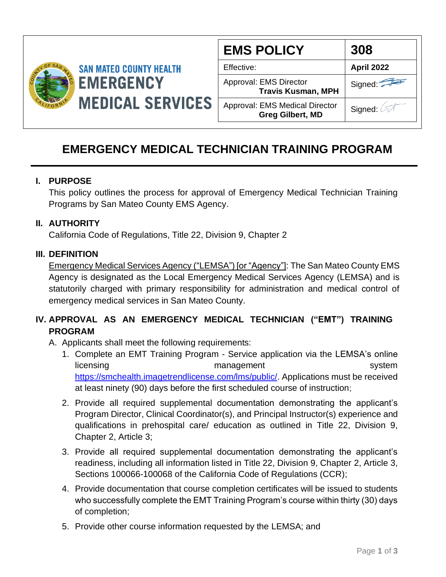

| <b>EMS POLICY</b>                                                | 308               |
|------------------------------------------------------------------|-------------------|
| Effective:                                                       | <b>April 2022</b> |
| Approval: EMS Director<br><b>Travis Kusman, MPH</b>              | Signed:           |
| <b>Approval: EMS Medical Director</b><br><b>Greg Gilbert, MD</b> | Signed: 4         |

# **EMERGENCY MEDICAL TECHNICIAN TRAINING PROGRAM**

#### **I. PURPOSE**

This policy outlines the process for approval of Emergency Medical Technician Training Programs by San Mateo County EMS Agency.

#### **II. AUTHORITY**

California Code of Regulations, Title 22, Division 9, Chapter 2

#### **III. DEFINITION**

Emergency Medical Services Agency ("LEMSA") [or "Agency"]: The San Mateo County EMS Agency is designated as the Local Emergency Medical Services Agency (LEMSA) and is statutorily charged with primary responsibility for administration and medical control of emergency medical services in San Mateo County.

## **IV. APPROVAL AS AN EMERGENCY MEDICAL TECHNICIAN ("EMT") TRAINING PROGRAM**

- A. Applicants shall meet the following requirements:
	- 1. Complete an EMT Training Program Service application via the LEMSA's online licensing management system [https://smchealth.imagetrendlicense.com/lms/public/.](https://smchealth.imagetrendlicense.com/lms/public/) Applications must be received at least ninety (90) days before the first scheduled course of instruction;
	- 2. Provide all required supplemental documentation demonstrating the applicant's Program Director, Clinical Coordinator(s), and Principal Instructor(s) experience and qualifications in prehospital care/ education as outlined in Title 22, Division 9, Chapter 2, Article 3;
	- 3. Provide all required supplemental documentation demonstrating the applicant's readiness, including all information listed in Title 22, Division 9, Chapter 2, Article 3, Sections 100066-100068 of the California Code of Regulations (CCR);
	- 4. Provide documentation that course completion certificates will be issued to students who successfully complete the EMT Training Program's course within thirty (30) days of completion;
	- 5. Provide other course information requested by the LEMSA; and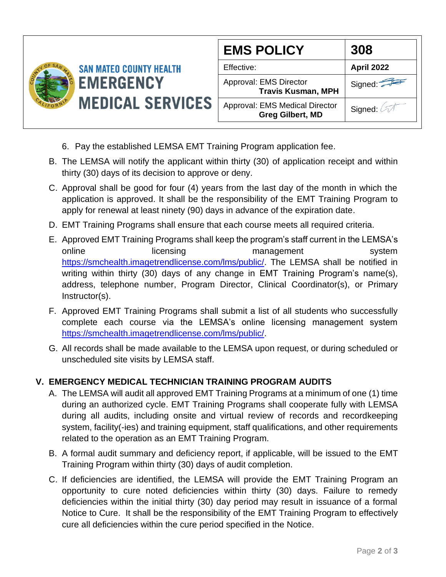

- 6. Pay the established LEMSA EMT Training Program application fee.
- B. The LEMSA will notify the applicant within thirty (30) of application receipt and within thirty (30) days of its decision to approve or deny.
- C. Approval shall be good for four (4) years from the last day of the month in which the application is approved. It shall be the responsibility of the EMT Training Program to apply for renewal at least ninety (90) days in advance of the expiration date.
- D. EMT Training Programs shall ensure that each course meets all required criteria.
- E. Approved EMT Training Programs shall keep the program's staff current in the LEMSA's online licensing management system [https://smchealth.imagetrendlicense.com/lms/public/.](https://smchealth.imagetrendlicense.com/lms/public/) The LEMSA shall be notified in writing within thirty (30) days of any change in EMT Training Program's name(s), address, telephone number, Program Director, Clinical Coordinator(s), or Primary Instructor(s).
- F. Approved EMT Training Programs shall submit a list of all students who successfully complete each course via the LEMSA's online licensing management system [https://smchealth.imagetrendlicense.com/lms/public/.](https://smchealth.imagetrendlicense.com/lms/public/)
- G. All records shall be made available to the LEMSA upon request, or during scheduled or unscheduled site visits by LEMSA staff.

### **V. EMERGENCY MEDICAL TECHNICIAN TRAINING PROGRAM AUDITS**

- A. The LEMSA will audit all approved EMT Training Programs at a minimum of one (1) time during an authorized cycle. EMT Training Programs shall cooperate fully with LEMSA during all audits, including onsite and virtual review of records and recordkeeping system, facility(-ies) and training equipment, staff qualifications, and other requirements related to the operation as an EMT Training Program.
- B. A formal audit summary and deficiency report, if applicable, will be issued to the EMT Training Program within thirty (30) days of audit completion.
- C. If deficiencies are identified, the LEMSA will provide the EMT Training Program an opportunity to cure noted deficiencies within thirty (30) days. Failure to remedy deficiencies within the initial thirty (30) day period may result in issuance of a formal Notice to Cure. It shall be the responsibility of the EMT Training Program to effectively cure all deficiencies within the cure period specified in the Notice.